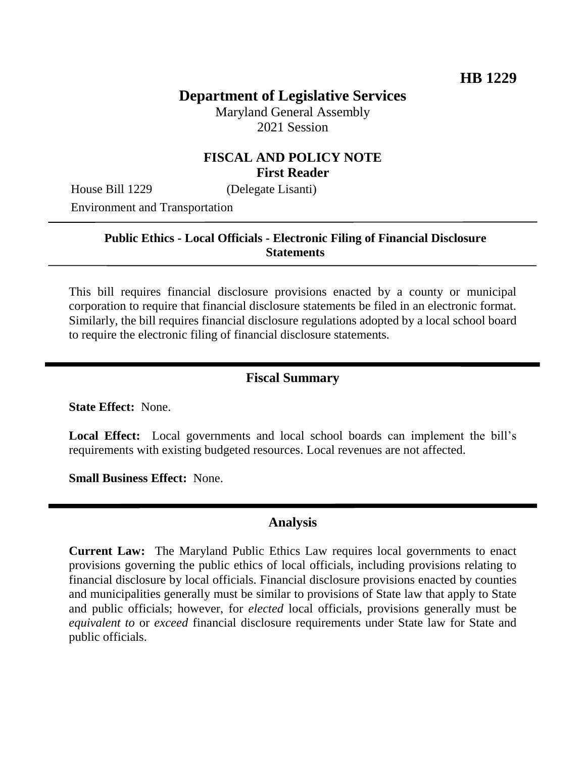# **Department of Legislative Services**

Maryland General Assembly 2021 Session

### **FISCAL AND POLICY NOTE First Reader**

House Bill 1229 (Delegate Lisanti)

Environment and Transportation

#### **Public Ethics - Local Officials - Electronic Filing of Financial Disclosure Statements**

This bill requires financial disclosure provisions enacted by a county or municipal corporation to require that financial disclosure statements be filed in an electronic format. Similarly, the bill requires financial disclosure regulations adopted by a local school board to require the electronic filing of financial disclosure statements.

#### **Fiscal Summary**

**State Effect:** None.

**Local Effect:** Local governments and local school boards can implement the bill's requirements with existing budgeted resources. Local revenues are not affected.

**Small Business Effect:** None.

#### **Analysis**

**Current Law:** The Maryland Public Ethics Law requires local governments to enact provisions governing the public ethics of local officials, including provisions relating to financial disclosure by local officials. Financial disclosure provisions enacted by counties and municipalities generally must be similar to provisions of State law that apply to State and public officials; however, for *elected* local officials, provisions generally must be *equivalent to* or *exceed* financial disclosure requirements under State law for State and public officials.